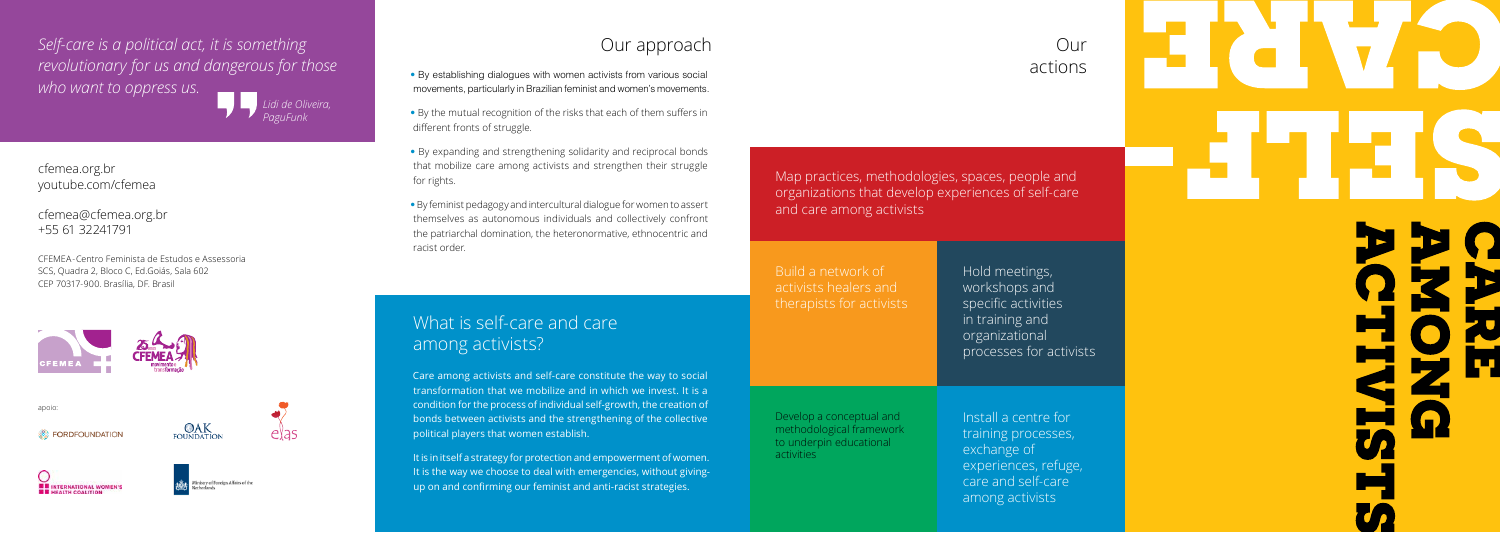- By establishing dialogues with women activists from various social movements, particularly in Brazilian feminist and women's movements.
- By the mutual recognition of the risks that each of them suffers in different fronts of struggle.
- By expanding and strengthening solidarity and reciprocal bonds that mobilize care among activists and strengthen their struggle for rights.
- By feminist pedagogy and intercultural dialogue for women to assert themselves as autonomous individuals and collectively confront the patriarchal domination, the heteronormative, ethnocentric and racist order.

It is in itself a strategy for protection and empowerment of women. It is the way we choose to deal with emergencies, without givingup on and confirming our feminist and anti-racist strategies.

exchange of experiences, refuge, care and self-care among activists

Care among activists and self-care constitute the way to social transformation that we mobilize and in which we invest. It is a condition for the process of individual self-growth, the creation of bonds between activists and the strengthening of the collective political players that women establish.

## What is self-care and care among activists?

# Our approach Our

actions

Map practices, methodologies, spaces, people and organizations that develop experiences of self-care and care among activists

Install a centre for training processes, Build a network of activists healers and therapists for activists Hold meetings, workshops and specific activities in training and organizational processes for activists Develop a conceptual and methodological framework

to underpin educational

activities

cfemea.org.br youtube.com/cfemea

cfemea@cfemea.org.br +55 61 32241791

CFEMEA-Centro Feminista de Estudos e Assessoria SCS, Quadra 2, Bloco C, Ed.Goiás, Sala 602 CEP 70317-900. Brasília, DF. Brasil



*Self-care is a political act, it is something revolutionary for us and dangerous for those who want to oppress us. Lidi de Oliveira,*

*PaguFunk*

**BB** INTERNATIONAL WOMEN'S



**OAK**<br>FOUNDATION

apoio:

**EX FORDFOUNDATION**